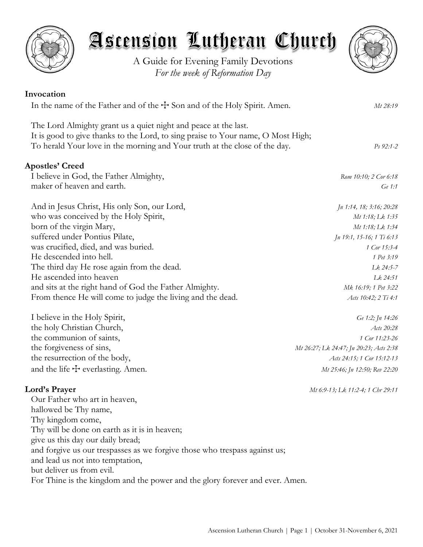

and sits at the right hand of God the Father Almighty. *Mk 16:19; 1 Pet 3:22* From thence He will come to judge the living and the dead. *Acts 10:42; 2 Ti 4:1* 

I believe in the Holy Spirit, *Ge 1:2; Jn 14:26* the holy Christian Church, *Acts 20:28* the communion of saints, *1 Cor 11:23-26*

and the life  $\pm$  everlasting. Amen. *Mt 25:46; Jn 12:50; Rev 22:20* 

the forgiveness of sins, *Mt 26:27; Lk 24:47; Jn 20:23; Acts 2:38* the resurrection of the body, *Acts 24:15; 1 Cor 15:12-13*

## **Lord's Prayer** *Mt 6:9-13; Lk 11:2-4; 1 Chr 29:11*

Our Father who art in heaven, hallowed be Thy name, Thy kingdom come, Thy will be done on earth as it is in heaven; give us this day our daily bread; and forgive us our trespasses as we forgive those who trespass against us; and lead us not into temptation, but deliver us from evil. For Thine is the kingdom and the power and the glory forever and ever. Amen.